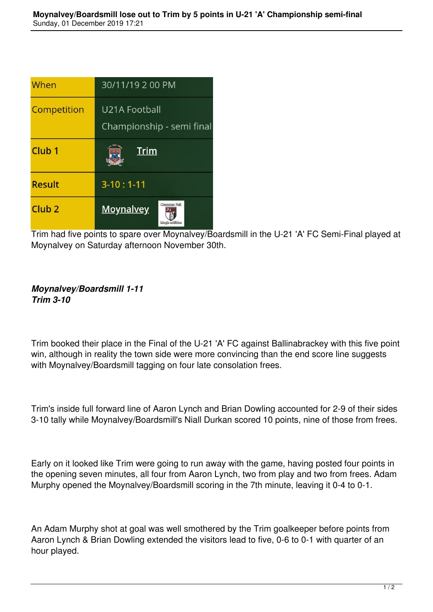| When              | 30/11/19 2 00 PM                           |
|-------------------|--------------------------------------------|
| Competition       | U21A Football<br>Championship - semi final |
| Club <sub>1</sub> | <u>Trim</u>                                |
| <b>Result</b>     | $3-10:1-11$                                |
| Club <sub>2</sub> | Component Rail<br><b>Moynalvey</b>         |

Trim had five points to spare over Moynalvey/Boardsmill in the U-21 'A' FC Semi-Final played at Moynalvey on Saturday afternoon November 30th.

## *Moynalvey/Boardsmill 1-11 Trim 3-10*

Trim booked their place in the Final of the U-21 'A' FC against Ballinabrackey with this five point win, although in reality the town side were more convincing than the end score line suggests with Moynalvey/Boardsmill tagging on four late consolation frees.

Trim's inside full forward line of Aaron Lynch and Brian Dowling accounted for 2-9 of their sides 3-10 tally while Moynalvey/Boardsmill's Niall Durkan scored 10 points, nine of those from frees.

Early on it looked like Trim were going to run away with the game, having posted four points in the opening seven minutes, all four from Aaron Lynch, two from play and two from frees. Adam Murphy opened the Moynalvey/Boardsmill scoring in the 7th minute, leaving it 0-4 to 0-1.

An Adam Murphy shot at goal was well smothered by the Trim goalkeeper before points from Aaron Lynch & Brian Dowling extended the visitors lead to five, 0-6 to 0-1 with quarter of an hour played.